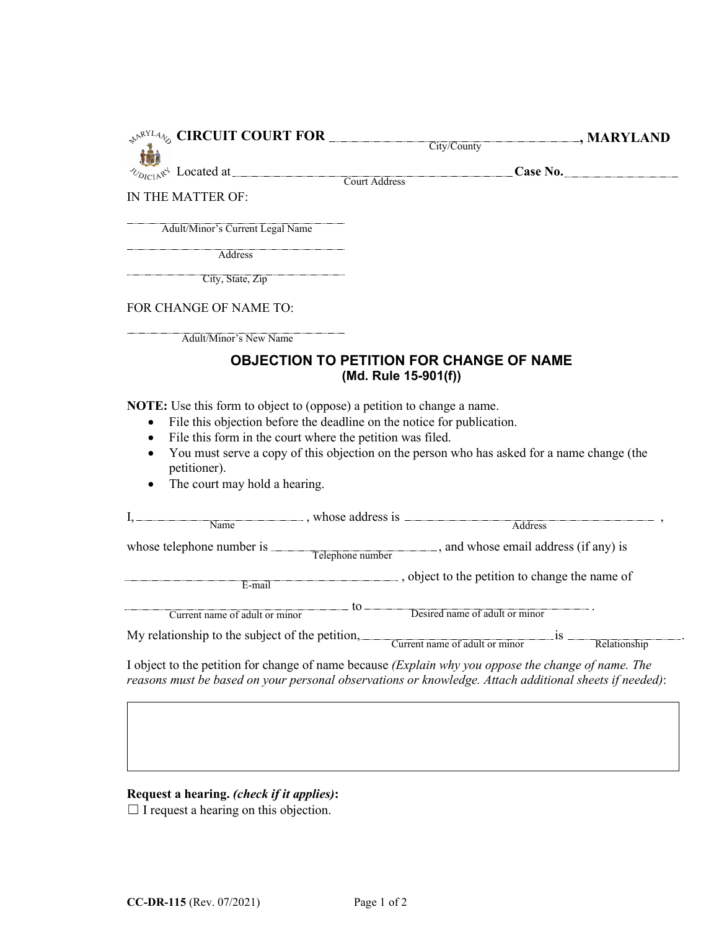|                                                                         | $\mathcal{P}^{\mathcal{N}^{RYL}4}\otimes$ CIRCUIT COURT FOR City/County | $\Box$ , MARYLAND                                                                                 |
|-------------------------------------------------------------------------|-------------------------------------------------------------------------|---------------------------------------------------------------------------------------------------|
|                                                                         |                                                                         |                                                                                                   |
|                                                                         |                                                                         | Case No.                                                                                          |
| IN THE MATTER OF:                                                       |                                                                         |                                                                                                   |
| Adult/Minor's Current Legal Name                                        |                                                                         |                                                                                                   |
| <b>Address</b>                                                          |                                                                         |                                                                                                   |
| City, State, Zip                                                        |                                                                         |                                                                                                   |
| FOR CHANGE OF NAME TO:                                                  |                                                                         |                                                                                                   |
| Adult/Minor's New Name                                                  |                                                                         |                                                                                                   |
| <b>OBJECTION TO PETITION FOR CHANGE OF NAME</b><br>(Md. Rule 15-901(f)) |                                                                         |                                                                                                   |
| $\bullet$                                                               | File this objection before the deadline on the notice for publication.  |                                                                                                   |
| $\bullet$<br>$\bullet$<br>petitioner).<br>The court may hold a hearing. | File this form in the court where the petition was filed.               | You must serve a copy of this objection on the person who has asked for a name change (the        |
|                                                                         |                                                                         |                                                                                                   |
| Name                                                                    |                                                                         | Address                                                                                           |
|                                                                         |                                                                         | whose telephone number is Telephone number email address (if any) is                              |
| $E$ -mail                                                               |                                                                         |                                                                                                   |
|                                                                         | Current name of adult or minor<br>Desired name of adult or minor        |                                                                                                   |
|                                                                         |                                                                         | My relationship to the subject of the petition, Current name of adult or minor is<br>Relationship |

## **Request a hearing.** *(check if it applies)***:**

□ I request a hearing on this objection.